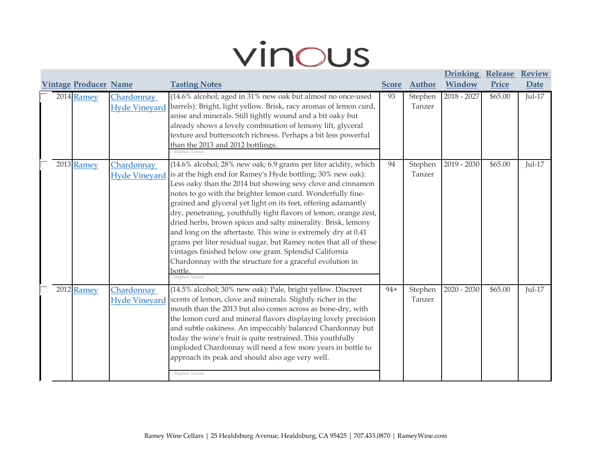## vinous

| <b>Vintage Producer Name</b> |                                    | <b>Tasting Notes</b>                                                                                                                                                                                                                                                                                                                                                                                                                                                                                                                                                                                                                                                                                                                                             | <b>Score</b> | <b>Author</b>     | <b>Drinking Release Review</b><br>Window | Price   | Date                       |
|------------------------------|------------------------------------|------------------------------------------------------------------------------------------------------------------------------------------------------------------------------------------------------------------------------------------------------------------------------------------------------------------------------------------------------------------------------------------------------------------------------------------------------------------------------------------------------------------------------------------------------------------------------------------------------------------------------------------------------------------------------------------------------------------------------------------------------------------|--------------|-------------------|------------------------------------------|---------|----------------------------|
| 2014 Ramey                   | Chardonnay<br><b>Hyde Vineyard</b> | (14.6% alcohol; aged in 31% new oak but almost no once-used<br>barrels): Bright, light yellow. Brisk, racy aromas of lemon curd,<br>anise and minerals. Still tightly wound and a bit oaky but<br>already shows a lovely combination of lemony lift, glyceral<br>texture and butterscotch richness. Perhaps a bit less powerful<br>than the 2013 and 2012 bottlings.<br>- Stephen Tanzer                                                                                                                                                                                                                                                                                                                                                                         | 93           | Stephen<br>Tanzer | $2018 - 2027$                            | \$65.00 | $\overline{\text{lu}1-17}$ |
| 2013 Ramey                   | Chardonnay<br><b>Hyde Vineyard</b> | (14.6% alcohol; 28% new oak; 6.9 grams per liter acidity, which<br>is at the high end for Ramey's Hyde bottling; 30% new oak):<br>Less oaky than the 2014 but showing sexy clove and cinnamon<br>notes to go with the brighter lemon curd. Wonderfully fine-<br>grained and glyceral yet light on its feet, offering adamantly<br>dry, penetrating, youthfully tight flavors of lemon, orange zest,<br>dried herbs, brown spices and salty minerality. Brisk, lemony<br>and long on the aftertaste. This wine is extremely dry at 0.41<br>grams per liter residual sugar, but Ramey notes that all of these<br>vintages finished below one gram. Splendid California<br>Chardonnay with the structure for a graceful evolution in<br>bottle.<br>- Stephen Tanzer | 94           | Stephen<br>Tanzer | $2019 - 2030$                            | \$65.00 | $Jul-17$                   |
| 2012 Ramey                   | Chardonnay<br><b>Hyde Vineyard</b> | (14.5% alcohol; 30% new oak): Pale, bright yellow. Discreet<br>scents of lemon, clove and minerals. Slightly richer in the<br>mouth than the 2013 but also comes across as bone-dry, with<br>the lemon curd and mineral flavors displaying lovely precision<br>and subtle oakiness. An impeccably balanced Chardonnay but<br>today the wine's fruit is quite restrained. This youthfully<br>imploded Chardonnay will need a few more years in bottle to<br>approach its peak and should also age very well.<br>- Stephen Tanzer                                                                                                                                                                                                                                  | $94+$        | Stephen<br>Tanzer | $2020 - 2030$                            | \$65.00 | $Jul-17$                   |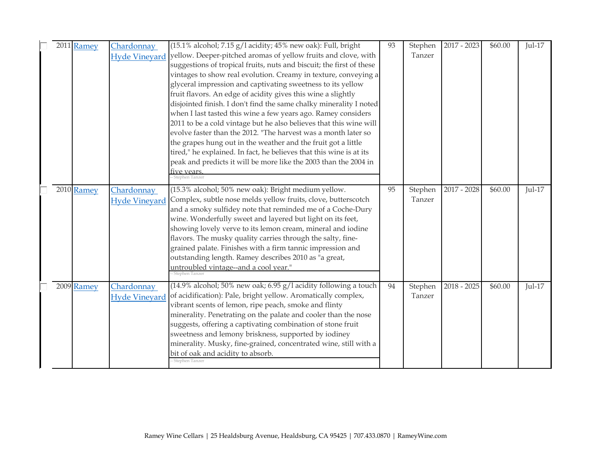| 2011 Ramey | Chardonnay           | (15.1% alcohol; 7.15 g/l acidity; 45% new oak): Full, bright                 | 93 | Stephen | $2017 - 2023$ | \$60.00 | Jul- $1\overline{7}$ |
|------------|----------------------|------------------------------------------------------------------------------|----|---------|---------------|---------|----------------------|
|            |                      | Hyde Vineyard yellow. Deeper-pitched aromas of yellow fruits and clove, with |    | Tanzer  |               |         |                      |
|            |                      | suggestions of tropical fruits, nuts and biscuit; the first of these         |    |         |               |         |                      |
|            |                      | vintages to show real evolution. Creamy in texture, conveying a              |    |         |               |         |                      |
|            |                      | glyceral impression and captivating sweetness to its yellow                  |    |         |               |         |                      |
|            |                      | fruit flavors. An edge of acidity gives this wine a slightly                 |    |         |               |         |                      |
|            |                      | disjointed finish. I don't find the same chalky minerality I noted           |    |         |               |         |                      |
|            |                      | when I last tasted this wine a few years ago. Ramey considers                |    |         |               |         |                      |
|            |                      | 2011 to be a cold vintage but he also believes that this wine will           |    |         |               |         |                      |
|            |                      | evolve faster than the 2012. "The harvest was a month later so               |    |         |               |         |                      |
|            |                      | the grapes hung out in the weather and the fruit got a little                |    |         |               |         |                      |
|            |                      | tired," he explained. In fact, he believes that this wine is at its          |    |         |               |         |                      |
|            |                      | peak and predicts it will be more like the 2003 than the 2004 in             |    |         |               |         |                      |
|            |                      | five vears.<br>-- Stephen Tanzer                                             |    |         |               |         |                      |
|            |                      |                                                                              |    |         |               |         |                      |
| 2010 Ramey | Chardonnay           | (15.3% alcohol; 50% new oak): Bright medium yellow.                          | 95 | Stephen | $2017 - 2028$ | \$60.00 | $Jul-17$             |
|            | <b>Hyde Vineyard</b> | Complex, subtle nose melds yellow fruits, clove, butterscotch                |    | Tanzer  |               |         |                      |
|            |                      | and a smoky sulfidey note that reminded me of a Coche-Dury                   |    |         |               |         |                      |
|            |                      | wine. Wonderfully sweet and layered but light on its feet,                   |    |         |               |         |                      |
|            |                      | showing lovely verve to its lemon cream, mineral and iodine                  |    |         |               |         |                      |
|            |                      | flavors. The musky quality carries through the salty, fine-                  |    |         |               |         |                      |
|            |                      | grained palate. Finishes with a firm tannic impression and                   |    |         |               |         |                      |
|            |                      | outstanding length. Ramey describes 2010 as "a great,                        |    |         |               |         |                      |
|            |                      | <b>untroubled vintage--and a cool year."</b><br>- Stephen Tanzer             |    |         |               |         |                      |
|            |                      |                                                                              |    |         |               |         |                      |
| 2009 Ramey | Chardonnay           | (14.9% alcohol; 50% new oak; 6.95 g/l acidity following a touch              | 94 | Stephen | $2018 - 2025$ | \$60.00 | Jul-17               |
|            | <b>Hyde Vineyard</b> | of acidification): Pale, bright yellow. Aromatically complex,                |    | Tanzer  |               |         |                      |
|            |                      | vibrant scents of lemon, ripe peach, smoke and flinty                        |    |         |               |         |                      |
|            |                      | minerality. Penetrating on the palate and cooler than the nose               |    |         |               |         |                      |
|            |                      | suggests, offering a captivating combination of stone fruit                  |    |         |               |         |                      |
|            |                      | sweetness and lemony briskness, supported by iodiney                         |    |         |               |         |                      |
|            |                      | minerality. Musky, fine-grained, concentrated wine, still with a             |    |         |               |         |                      |
|            |                      | bit of oak and acidity to absorb.<br>- Stephen Tanzer                        |    |         |               |         |                      |
|            |                      |                                                                              |    |         |               |         |                      |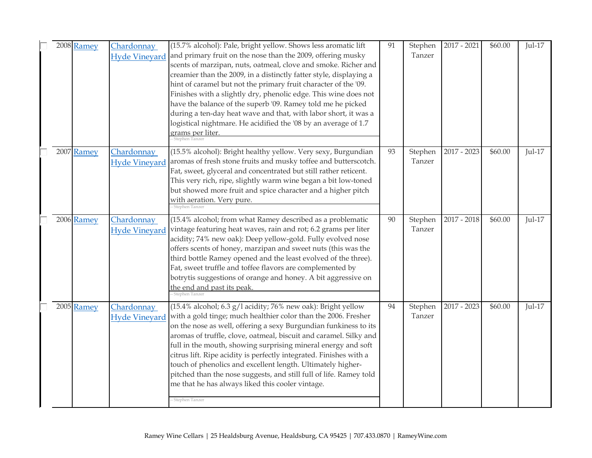| 2008 Ramey | Chardonnay<br><b>Hyde Vineyard</b> | (15.7% alcohol): Pale, bright yellow. Shows less aromatic lift<br>and primary fruit on the nose than the 2009, offering musky<br>scents of marzipan, nuts, oatmeal, clove and smoke. Richer and<br>creamier than the 2009, in a distinctly fatter style, displaying a<br>hint of caramel but not the primary fruit character of the '09.<br>Finishes with a slightly dry, phenolic edge. This wine does not<br>have the balance of the superb '09. Ramey told me he picked<br>during a ten-day heat wave and that, with labor short, it was a<br>logistical nightmare. He acidified the '08 by an average of 1.7<br>grams per liter.<br>- Stephen Tanzer | 91 | Stephen<br>Tanzer | $2017 - 2021$ | \$60.00 | $Jul-17$ |
|------------|------------------------------------|----------------------------------------------------------------------------------------------------------------------------------------------------------------------------------------------------------------------------------------------------------------------------------------------------------------------------------------------------------------------------------------------------------------------------------------------------------------------------------------------------------------------------------------------------------------------------------------------------------------------------------------------------------|----|-------------------|---------------|---------|----------|
| 2007 Ramey | Chardonnay<br><b>Hyde Vineyard</b> | (15.5% alcohol): Bright healthy yellow. Very sexy, Burgundian<br>aromas of fresh stone fruits and musky toffee and butterscotch.<br>Fat, sweet, glyceral and concentrated but still rather reticent.<br>This very rich, ripe, slightly warm wine began a bit low-toned<br>but showed more fruit and spice character and a higher pitch<br>with aeration. Very pure.<br>-Stephen Tanzer                                                                                                                                                                                                                                                                   | 93 | Stephen<br>Tanzer | 2017 - 2023   | \$60.00 | $Jul-17$ |
| 2006 Ramey | Chardonnay<br><b>Hyde Vineyard</b> | (15.4% alcohol; from what Ramey described as a problematic<br>vintage featuring heat waves, rain and rot; 6.2 grams per liter<br>acidity; 74% new oak): Deep yellow-gold. Fully evolved nose<br>offers scents of honey, marzipan and sweet nuts (this was the<br>third bottle Ramey opened and the least evolved of the three).<br>Fat, sweet truffle and toffee flavors are complemented by<br>botrytis suggestions of orange and honey. A bit aggressive on<br>the end and past its peak.<br>-Stephen Tanzer                                                                                                                                           | 90 | Stephen<br>Tanzer | $2017 - 2018$ | \$60.00 | $Jul-17$ |
| 2005 Ramey | Chardonnay<br><b>Hyde Vineyard</b> | (15.4% alcohol; 6.3 g/l acidity; 76% new oak): Bright yellow<br>with a gold tinge; much healthier color than the 2006. Fresher<br>on the nose as well, offering a sexy Burgundian funkiness to its<br>aromas of truffle, clove, oatmeal, biscuit and caramel. Silky and<br>full in the mouth, showing surprising mineral energy and soft<br>citrus lift. Ripe acidity is perfectly integrated. Finishes with a<br>touch of phenolics and excellent length. Ultimately higher-<br>pitched than the nose suggests, and still full of life. Ramey told<br>me that he has always liked this cooler vintage.<br>- Stephen Tanzer                              | 94 | Stephen<br>Tanzer | 2017 - 2023   | \$60.00 | Jul-17   |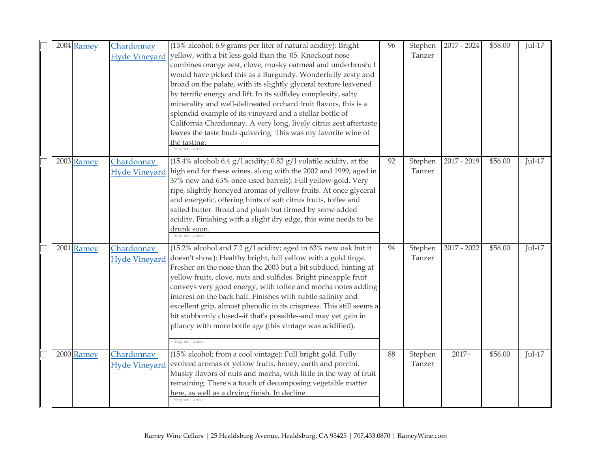| 2004 Ramey | Chardonnay<br><b>Hyde Vineyard</b> | (15% alcohol; 6.9 grams per liter of natural acidity): Bright<br>yellow, with a bit less gold than the '05. Knockout nose<br>combines orange zest, clove, musky oatmeal and underbrush; I<br>would have picked this as a Burgundy. Wonderfully zesty and<br>broad on the palate, with its slightly glyceral texture leavened<br>by terrific energy and lift. In its sulfidey complexity, salty<br>minerality and well-delineated orchard fruit flavors, this is a<br>splendid example of its vineyard and a stellar bottle of<br>California Chardonnay. A very long, lively citrus zest aftertaste<br>leaves the taste buds quivering. This was my favorite wine of<br>the tasting.<br>Stephen Tanzer | 96 | Stephen<br>Tanzer | $2017 - 2024$ | \$58.00 | $Jul-17$ |
|------------|------------------------------------|-------------------------------------------------------------------------------------------------------------------------------------------------------------------------------------------------------------------------------------------------------------------------------------------------------------------------------------------------------------------------------------------------------------------------------------------------------------------------------------------------------------------------------------------------------------------------------------------------------------------------------------------------------------------------------------------------------|----|-------------------|---------------|---------|----------|
| 2003 Ramey | Chardonnay<br><b>Hyde Vineyard</b> | (15.4% alcohol; 6.4 $g/l$ acidity; 0.83 $g/l$ volatile acidity, at the<br>high end for these wines, along with the 2002 and 1999; aged in<br>37% new and 63% once-used barrels): Full yellow-gold. Very<br>ripe, slightly honeyed aromas of yellow fruits. At once glyceral<br>and energetic, offering hints of soft citrus fruits, toffee and<br>salted butter. Broad and plush but firmed by some added<br>acidity. Finishing with a slight dry edge, this wine needs to be<br>drunk soon.<br>- Stephen Tanzer                                                                                                                                                                                      | 92 | Stephen<br>Tanzer | 2017 - 2019   | \$56.00 | $Jul-17$ |
| 2001 Ramey | Chardonnay<br><b>Hyde Vineyard</b> | (15.2% alcohol and 7.2 $g/1$ acidity; aged in 63% new oak but it<br>doesn't show): Healthy bright, full yellow with a gold tinge.<br>Fresher on the nose than the 2003 but a bit subdued, hinting at<br>yellow fruits, clove, nuts and sulfides. Bright pineapple fruit<br>conveys very good energy, with toffee and mocha notes adding<br>interest on the back half. Finishes with subtle salinity and<br>excellent grip, almost phenolic in its crispness. This still seems a<br>bit stubbornly closed--if that's possible--and may yet gain in<br>pliancy with more bottle age (this vintage was acidified).<br>- Stephen Tanzer                                                                   | 94 | Stephen<br>Tanzer | $2017 - 2022$ | \$56.00 | $Jul-17$ |
| 2000 Ramey | Chardonnay<br><b>Hyde Vineyard</b> | (15% alcohol; from a cool vintage): Full bright gold. Fully<br>evolved aromas of yellow fruits, honey, earth and porcini.<br>Musky flavors of nuts and mocha, with little in the way of fruit<br>remaining. There's a touch of decomposing vegetable matter<br>here, as well as a drying finish. In decline.<br>-Stephen Tanzer                                                                                                                                                                                                                                                                                                                                                                       | 88 | Stephen<br>Tanzer | $2017+$       | \$56.00 | $Jul-17$ |